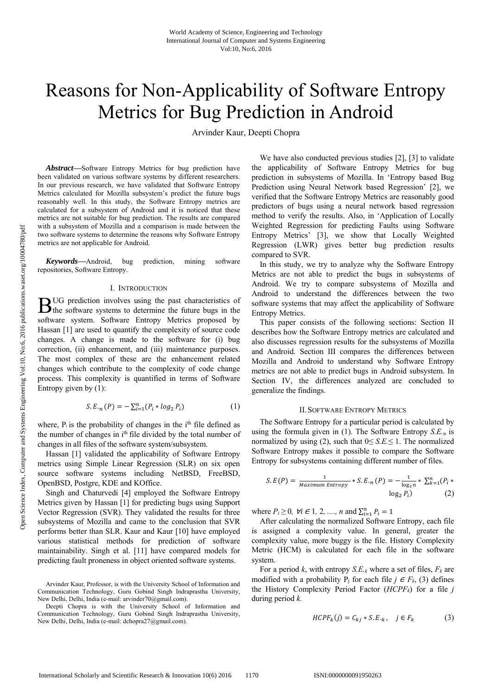# Reasons for Non-Applicability of Software Entropy Metrics for Bug Prediction in Android

Arvinder Kaur, Deepti Chopra

*Abstract***—**Software Entropy Metrics for bug prediction have been validated on various software systems by different researchers. In our previous research, we have validated that Software Entropy Metrics calculated for Mozilla subsystem's predict the future bugs reasonably well. In this study, the Software Entropy metrics are calculated for a subsystem of Android and it is noticed that these metrics are not suitable for bug prediction. The results are compared with a subsystem of Mozilla and a comparison is made between the two software systems to determine the reasons why Software Entropy metrics are not applicable for Android.

*Keywords***—**Android, bug prediction, mining software repositories, Software Entropy.

#### I. INTRODUCTION

UG prediction involves using the past characteristics of  $B<sup>UG</sup>$  prediction involves using the past characteristics of the software systems to determine the future bugs in the software system. Software Entropy Metrics proposed by Hassan [1] are used to quantify the complexity of source code changes. A change is made to the software for (i) bug correction, (ii) enhancement, and (iii) maintenance purposes. The most complex of these are the enhancement related changes which contribute to the complexity of code change process. This complexity is quantified in terms of Software Entropy given by (1):

$$
S.E.,_{n}(P) = -\sum_{i=1}^{n} (P_{i} * log_{2} P_{i})
$$
\n(1)

where,  $P_i$  is the probability of changes in the i<sup>th</sup> file defined as the number of changes in i<sup>th</sup> file divided by the total number of changes in all files of the software system/subsystem.

Hassan [1] validated the applicability of Software Entropy metrics using Simple Linear Regression (SLR) on six open source software systems including NetBSD, FreeBSD, OpenBSD, Postgre, KDE and KOffice.

Singh and Chaturvedi [4] employed the Software Entropy Metrics given by Hassan [1] for predicting bugs using Support Vector Regression (SVR). They validated the results for three subsystems of Mozilla and came to the conclusion that SVR performs better than SLR. Kaur and Kaur [10] have employed various statistical methods for prediction of software maintainability. Singh et al. [11] have compared models for predicting fault proneness in object oriented software systems.

We have also conducted previous studies [2], [3] to validate the applicability of Software Entropy Metrics for bug prediction in subsystems of Mozilla. In 'Entropy based Bug Prediction using Neural Network based Regression' [2], we verified that the Software Entropy Metrics are reasonably good predictors of bugs using a neural network based regression method to verify the results. Also, in 'Application of Locally Weighted Regression for predicting Faults using Software Entropy Metrics' [3], we show that Locally Weighted Regression (LWR) gives better bug prediction results compared to SVR.

In this study, we try to analyze why the Software Entropy Metrics are not able to predict the bugs in subsystems of Android. We try to compare subsystems of Mozilla and Android to understand the differences between the two software systems that may affect the applicability of Software Entropy Metrics.

This paper consists of the following sections: Section II describes how the Software Entropy metrics are calculated and also discusses regression results for the subsystems of Mozilla and Android. Section III compares the differences between Mozilla and Android to understand why Software Entropy metrics are not able to predict bugs in Android subsystem. In Section IV, the differences analyzed are concluded to generalize the findings.

#### II.SOFTWARE ENTROPY METRICS

The Software Entropy for a particular period is calculated by using the formula given in (1). The Software Entropy *S.E.*n is normalized by using (2), such that 0*≤ S.E.≤* 1. The normalized Software Entropy makes it possible to compare the Software Entropy for subsystems containing different number of files.

$$
S.E(P) = \frac{1}{\text{Maximum Entropy}} * S.E._n(P) = -\frac{1}{\log_2 n} * \sum_{k=1}^n (P_i * \log_2 P_i)
$$
\n
$$
\log_2 P_i)
$$
\n(2)

where  $P_i \geq 0$ ,  $\forall i \in \{1, 2, ..., n \text{ and } \sum_{i=1}^{n} P_i = 1\}$ 

After calculating the normalized Software Entropy, each file is assigned a complexity value. In general, greater the complexity value, more buggy is the file. History Complexity Metric (HCM) is calculated for each file in the software system.

For a period *k*, with entropy  $S.E_{k}$  where a set of files,  $F_{k}$  are modified with a probability P<sub>i</sub> for each file *j*  $\in$  *F<sub>k</sub>*, (3) defines the History Complexity Period Factor (*HCPFk*) for a file *j*  during period *k.* 

$$
HCPF_k(j) = C_{kj} * S.E_{\cdot k}, \quad j \in F_k \tag{3}
$$

Arvinder Kaur, Professor, is with the University School of Information and Communication Technology, Guru Gobind Singh Indraprastha University, New Delhi, Delhi, India (e-mail: arvinder70@gmail.com).

Deepti Chopra is with the University School of Information and Communication Technology, Guru Gobind Singh Indraprastha University, New Delhi, Delhi, India (e-mail: dchopra27@gmail.com).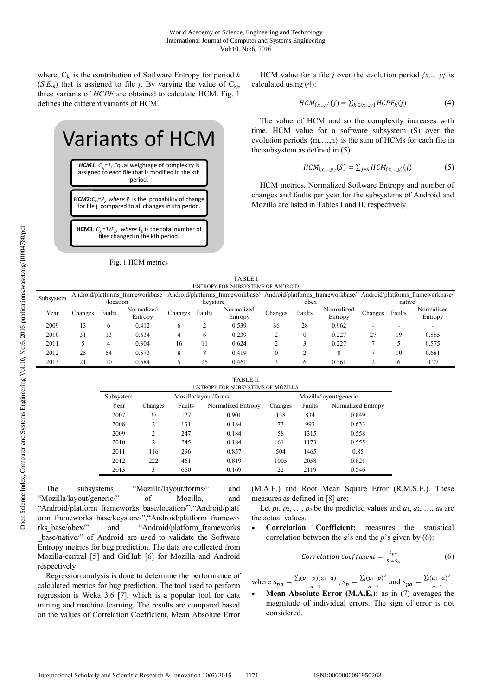where,  $C_{ki}$  is the contribution of Software Entropy for period  $k$  $(S.E._{k})$  that is assigned to file *j*. By varying the value of C<sub>kj</sub>, three variants of *HCPF* are obtained to calculate HCM. Fig. 1 defines the different variants of HCM.

# Variants of HCM

*HCM1:*  $C_{ki}$ =1, Equal weightage of complexity is assigned to each file that is modified in the kth period.

*HCM2:* $C_{kj}$ = $P_j$ , where  $P_j$  is the probability of change for file j compared to all changes in kth period.

**HCM3***:*  $C_{ki} = 1/F_{ki}$ , where  $F_k$  is the total number of files changed in the kth period.

# Fig. 1 HCM metrics

HCM value for a file *j* over the evolution period  $\{x, \ldots, y\}$  is calculated using (4):

$$
HCM_{\{x, \ldots, y\}}(j) = \sum_{k \in \{x, \ldots, y\}} HCPF_k(j)
$$
 (4)

The value of HCM and so the complexity increases with time. HCM value for a software subsystem (S) over the evolution periods  ${m, ..., n}$  is the sum of HCMs for each file in the subsystem as defined in (5).

$$
HCM_{\{x,\dots,y\}}(S) = \sum_{j \in S} HCM_{\{x,\dots,y\}}(j)
$$
 (5)

HCM metrics, Normalized Software Entropy and number of changes and faults per year for the subsystems of Android and Mozilla are listed in Tables I and II, respectively.

| <b>TABLE I</b>                    |  |
|-----------------------------------|--|
| ENTROPY FOR SUBSYSTEMS OF ANDROID |  |

| Subsystem |         |           | Android/platforms frameworkbase |         |          | Android/platforms frameworkbase/ |         |        | Android/platforms frameworkbase/ |         |        | Android/platforms frameworkbase/ |
|-----------|---------|-----------|---------------------------------|---------|----------|----------------------------------|---------|--------|----------------------------------|---------|--------|----------------------------------|
|           |         | /location |                                 |         | keystore |                                  |         | obex   |                                  |         | native |                                  |
| Year      | Changes | Faults    | Normalized                      | Changes | Faults   | Normalized                       | Changes | Faults | Normalized                       | Changes | Faults | Normalized                       |
|           |         |           | Entropy                         |         |          | Entropy                          |         |        | Entropy                          |         |        | Entropy                          |
| 2009      | 13      | b         | 0.412                           | 6       |          | 0.539                            | 36      | 28     | 0.962                            |         | -      | -                                |
| 2010      | 31      | 13        | 0.634                           |         |          | 0.239                            |         |        | 0.227                            | 27      | 19     | 0.885                            |
| 2011      |         | 4         | 0.304                           | 16      |          | 0.624                            |         |        | 0.227                            |         |        | 0.575                            |
| 2012      | 25      | 54        | 0.573                           | 8       |          | 0.419                            |         |        | $\Omega$                         |         | 10     | 0.681                            |
| 2013      | 21      | 10        | 0.584                           |         | 25       | 0.461                            |         |        | 0.361                            |         | 6      | 0.27                             |

TABLE II

| TADLE II<br><b>ENTROPY FOR SUBSYSTEMS OF MOZILLA</b> |                |        |                      |                        |        |                    |  |
|------------------------------------------------------|----------------|--------|----------------------|------------------------|--------|--------------------|--|
| Subsystem                                            |                |        | Mozilla/layout/forms | Mozilla/layout/generic |        |                    |  |
| Year                                                 | Changes        | Faults | Normalized Entropy   | Changes                | Faults | Normalized Entropy |  |
| 2007                                                 | 37             | 127    | 0.901                | 138                    | 834    | 0.849              |  |
| 2008                                                 | 2              | 131    | 0.184                | 73                     | 993    | 0.633              |  |
| 2009                                                 | 2              | 247    | 0.184                | 58                     | 1315   | 0.558              |  |
| 2010                                                 | $\overline{c}$ | 245    | 0.184                | 61                     | 1173   | 0.555              |  |
| 2011                                                 | 116            | 296    | 0.857                | 504                    | 1465   | 0.85               |  |
| 2012                                                 | 222            | 461    | 0.819                | 1005                   | 2058   | 0.821              |  |
| 2013                                                 | 3              | 660    | 0.169                | 22                     | 2119   | 0.546              |  |

The subsystems "Mozilla/layout/forms/" and "Mozilla/layout/generic/" of Mozilla, and "Android/platform\_frameworks\_base/location/","Android/platf orm\_frameworks\_base/keystore/","Android/platform\_framewo rks\_base/obex/" and "Android/platform\_frameworks \_base/native/" of Android are used to validate the Software Entropy metrics for bug prediction. The data are collected from Mozilla-central [5] and GitHub [6] for Mozilla and Android respectively.

Regression analysis is done to determine the performance of calculated metrics for bug prediction. The tool used to perform regression is Weka 3.6 [7], which is a popular tool for data mining and machine learning. The results are compared based on the values of Correlation Coefficient, Mean Absolute Error (M.A.E.) and Root Mean Square Error (R.M.S.E.). These measures as defined in [8] are:

Let  $p_1, p_2, \ldots, p_n$  be the predicted values and  $a_1, a_2, \ldots, a_n$  are the actual values.

 **Correlation Coefficient:** measures the statistical correlation between the *a*'s and the *p*'s given by (6):

Correlation Coefficient = 
$$
\frac{s_{pa}}{s_{P} \cdot s_{a}}
$$
 (6)

where  $s_{pa} = \frac{\sum_i (p_i - \bar{p})(a_i - \bar{a})}{n-1}$ ,  $s_p = \frac{\sum_i (p_i - \bar{p})^2}{n-1}$  and  $s_{pa} = \frac{\sum_i (a_i - \bar{a})^2}{n-1}$ .

**Mean Absolute Error (M.A.E.):** as in (7) averages the magnitude of individual errors. The sign of error is not considered.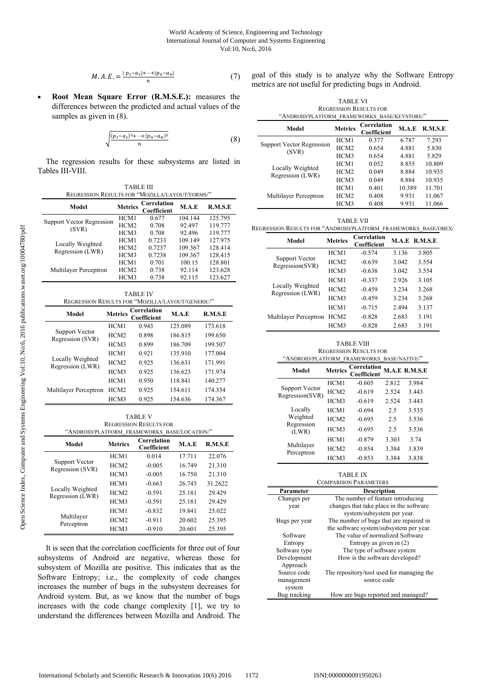$$
M.A.E. = \frac{|p_1 - a_1| + \dots + |p_n - a_n|}{n} \tag{7}
$$

 **Root Mean Square Error (R.M.S.E.):** measures the differences between the predicted and actual values of the samples as given in (8).

$$
\sqrt{\frac{(p_1 - a_1)^2 + \dots + (p_n - a_n)^2}{n}} \tag{8}
$$

The regression results for these subsystems are listed in Tables III-VIII.

| <b>TABLE III</b>                               |                  |                            |         |         |  |
|------------------------------------------------|------------------|----------------------------|---------|---------|--|
| REGRESSION RESULTS FOR "MOZILLA/LAYOUT/FORMS/" |                  |                            |         |         |  |
| Model                                          | <b>Metrics</b>   | Correlation<br>Coefficient | M.A.E   | R.M.S.E |  |
|                                                | HCM1             | 0.677                      | 104.144 | 125.795 |  |
| <b>Support Vector Regression</b><br>(SVR)      | HCM <sub>2</sub> | 0.708                      | 92.497  | 119.777 |  |
|                                                | HCM3             | 0.708                      | 92.496  | 119.777 |  |
|                                                | HCM1             | 0.7233                     | 109.149 | 127.975 |  |
| Locally Weighted                               | HCM2             | 0.7237                     | 109.367 | 128.414 |  |
| Regression (LWR)                               | HCM3             | 0.7238                     | 109.367 | 128.415 |  |
|                                                | HCM1             | 0.701                      | 100.15  | 128.801 |  |
| Multilayer Perceptron                          | HCM <sub>2</sub> | 0.738                      | 92.114  | 123.628 |  |
|                                                | HCM3             | 0.738                      | 92.115  | 123.627 |  |

| <b>TABLE IV</b>                                  |                  |                            |         |         |  |  |  |
|--------------------------------------------------|------------------|----------------------------|---------|---------|--|--|--|
| REGRESSION RESULTS FOR "MOZILLA/LAYOUT/GENERIC/" |                  |                            |         |         |  |  |  |
| Model                                            | <b>Metrics</b>   | Correlation<br>Coefficient | M.A.E   | R.M.S.E |  |  |  |
|                                                  | HCM1             | 0.943                      | 125.089 | 173.618 |  |  |  |
| Support Vector<br>Regression (SVR)               | HCM <sub>2</sub> | 0.898                      | 186.815 | 199.650 |  |  |  |
|                                                  | HCM3             | 0.899                      | 186.709 | 199.507 |  |  |  |
|                                                  | HCM1             | 0.921                      | 135.910 | 177.004 |  |  |  |
| Locally Weighted<br>Regression (LWR)             | HCM2             | 0.925                      | 136.631 | 171.991 |  |  |  |
|                                                  | HCM3             | 0.925                      | 136.623 | 171.974 |  |  |  |
|                                                  | HCM1             | 0.950                      | 118.841 | 140.277 |  |  |  |
| Multilayer Perceptron                            | HCM <sub>2</sub> | 0.925                      | 154.611 | 174.334 |  |  |  |
|                                                  | HCM3             | 0.925                      | 154.636 | 174.367 |  |  |  |

TABLE V REGRESSION RESULTS FOR "ANDROID/PLATFORM\_FRAMEWORKS\_BASE/LOCATION/"

| Model                                | <b>Metrics</b>   | Correlation<br>Coefficient | M.A.E  | R.M.S.E |
|--------------------------------------|------------------|----------------------------|--------|---------|
|                                      | HCM1             | 0.014                      | 17.711 | 22.076  |
| Support Vector<br>Regression (SVR)   | HCM <sub>2</sub> | $-0.005$                   | 16.749 | 21.310  |
|                                      | HCM3             | $-0.005$                   | 16.750 | 21.310  |
|                                      | HCM1             | $-0.663$                   | 26.745 | 31.2622 |
| Locally Weighted<br>Regression (LWR) | HCM2             | $-0.591$                   | 25.181 | 29.429  |
|                                      | HCM3             | $-0.591$                   | 25.181 | 29.429  |
|                                      | HCM1             | $-0.832$                   | 19.841 | 25.022  |
| Multilayer<br>Perceptron             | HCM <sub>2</sub> | $-0.911$                   | 20.602 | 25.395  |
|                                      | HCM3             | $-0.910$                   | 20.601 | 25.395  |

It is seen that the correlation coefficients for three out of four subsystems of Android are negative, whereas those for subsystem of Mozilla are positive. This indicates that as the Software Entropy; i.e., the complexity of code changes increases the number of bugs in the subsystem decreases for Android system. But, as we know that the number of bugs increases with the code change complexity [1], we try to understand the differences between Mozilla and Android. The goal of this study is to analyze why the Software Entropy metrics are not useful for predicting bugs in Android.

TABLE VI REGRESSION RESULTS FOR "ANDROID/PLATFORM\_FRAMEWORKS\_BASE/KEYSTORE/"

| Model                              | <b>Metrics</b>   | Correlation<br>Coefficient | M.A.E  | R.M.S.E |
|------------------------------------|------------------|----------------------------|--------|---------|
|                                    | HCM1             | 0.377                      | 6.787  | 7.293   |
| Support Vector Regression<br>(SVR) | HCM <sub>2</sub> | 0.654                      | 4.881  | 5.830   |
|                                    | HCM3             | 0.654                      | 4.881  | 5.829   |
| Locally Weighted                   | HCM1             | 0.052                      | 8.855  | 10.809  |
| Regression (LWR)                   | HCM2             | 0.049                      | 8.884  | 10.935  |
|                                    | HCM3             | 0.049                      | 8.884  | 10.935  |
|                                    | HCM1             | 0.401                      | 10.389 | 11.701  |
| Multilayer Perceptron              | HCM2             | 0.408                      | 9.931  | 11.067  |
|                                    | HCM3             | 0.408                      | 9.931  | 11.066  |

| <b>TABLE VII</b>                                               |  |
|----------------------------------------------------------------|--|
| REGRESSION RESULTS FOR "ANDROID/PLATFORM FRAMEWORKS BASE/OBEX/ |  |

| Model                                | <b>Metrics</b>   | Correlation<br>Coefficient |       | M.A.E R.M.S.E |
|--------------------------------------|------------------|----------------------------|-------|---------------|
| Support Vector<br>Regression(SVR)    | HCM1             | $-0.574$                   | 3.136 | 3.805         |
|                                      | HCM <sub>2</sub> | $-0.639$                   | 3.042 | 3.554         |
|                                      | HCM3             | $-0.638$                   | 3.042 | 3.554         |
|                                      | HCM1             | $-0.337$                   | 2.926 | 3.105         |
| Locally Weighted<br>Regression (LWR) | HCM2             | $-0.459$                   | 3.234 | 3.268         |
|                                      | HCM3             | $-0.459$                   | 3.234 | 3.268         |
|                                      | HCM1             | $-0.715$                   | 2.494 | 3.137         |
| Multilayer Perceptron                | HCM <sub>2</sub> | $-0.828$                   | 2.683 | 3.191         |
|                                      | HCM3             | $-0.828$                   | 2.683 | 3.191         |

TABLE VIII REGRESSION RESULTS FOR "ANDROID/PLATFORM\_FRAMEWORKS\_BASE/NATIVE/"

| Model                             | <b>Metrics</b>   | Correlation<br>Coefficient |       | M.A.E R.M.S.E |
|-----------------------------------|------------------|----------------------------|-------|---------------|
|                                   | HCM1             | $-0.605$                   | 2.812 | 3.984         |
| Support Vector<br>Regression(SVR) | HCM <sub>2</sub> | $-0.619$                   | 2.524 | 3.443         |
|                                   | HCM3             | $-0.619$                   | 2.524 | 3.443         |
| Locally                           | HCM1             | $-0.694$                   | 2.5   | 3.535         |
| Weighted                          | HCM <sub>2</sub> | $-0.695$                   | 2.5   | 3.536         |
| Regression<br>(LWR)               | HCM3             | $-0.695$                   | 2.5   | 3.536         |
|                                   | HCM1             | $-0.879$                   | 3.303 | 3.74          |
| Multilayer<br>Perceptron          | HCM <sub>2</sub> | $-0.854$                   | 3.384 | 3.839         |
|                                   | HCM3             | $-0.853$                   | 3.384 | 3.838         |

| . .<br>۰ |
|----------|
|----------|

|               | <b>COMPARISON PARAMETERS</b>              |
|---------------|-------------------------------------------|
| Parameter     | <b>Description</b>                        |
| Changes per   | The number of feature introducing         |
| year          | changes that take place in the software   |
|               | system/subsystem per year.                |
| Bugs per year | The number of bugs that are repaired in   |
|               | the software system/subsystem per year.   |
| Software      | The value of normalized Software          |
| Entropy       | Entropy as given in $(2)$                 |
| Software type | The type of software system               |
| Development   | How is the software developed?            |
| Approach      |                                           |
| Source code   | The repository/tool used for managing the |
| management    | source code                               |
| system        |                                           |
| Bug tracking  | How are bugs reported and managed?        |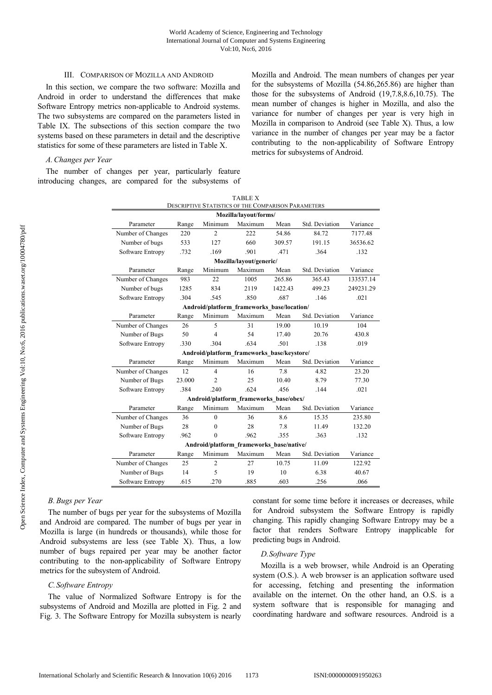#### III. COMPARISON OF MOZILLA AND ANDROID

In this section, we compare the two software: Mozilla and Android in order to understand the differences that make Software Entropy metrics non-applicable to Android systems. The two subsystems are compared on the parameters listed in Table IX. The subsections of this section compare the two systems based on these parameters in detail and the descriptive statistics for some of these parameters are listed in Table X.

Mozilla and Android. The mean numbers of changes per year for the subsystems of Mozilla (54.86,265.86) are higher than those for the subsystems of Android (19,7.8,8.6,10.75). The mean number of changes is higher in Mozilla, and also the variance for number of changes per year is very high in Mozilla in comparison to Android (see Table X). Thus, a low variance in the number of changes per year may be a factor contributing to the non-applicability of Software Entropy metrics for subsystems of Android.

# *A.Changes per Year*

The number of changes per year, particularly feature introducing changes, are compared for the subsystems of

| <b>TABLE X</b>                                      |        |                |         |         |                |           |
|-----------------------------------------------------|--------|----------------|---------|---------|----------------|-----------|
| DESCRIPTIVE STATISTICS OF THE COMPARISON PARAMETERS |        |                |         |         |                |           |
| Mozilla/layout/forms/                               |        |                |         |         |                |           |
| Parameter                                           | Range  | Minimum        | Maximum | Mean    | Std. Deviation | Variance  |
| Number of Changes                                   | 220    | $\overline{2}$ | 222     | 54.86   | 84.72          | 7177.48   |
| Number of bugs                                      | 533    | 127            | 660     | 309.57  | 191.15         | 36536.62  |
| Software Entropy                                    | .732   | .169           | .901    | .471    | .364           | .132      |
| Mozilla/layout/generic/                             |        |                |         |         |                |           |
| Parameter                                           | Range  | Minimum        | Maximum | Mean    | Std. Deviation | Variance  |
| Number of Changes                                   | 983    | 22             | 1005    | 265.86  | 365.43         | 133537.14 |
| Number of bugs                                      | 1285   | 834            | 2119    | 1422.43 | 499.23         | 249231.29 |
| Software Entropy                                    | .304   | .545           | .850    | .687    | .146           | .021      |
| Android/platform frameworks base/location/          |        |                |         |         |                |           |
| Parameter                                           | Range  | Minimum        | Maximum | Mean    | Std. Deviation | Variance  |
| Number of Changes                                   | 26     | 5              | 31      | 19.00   | 10.19          | 104       |
| Number of Bugs                                      | 50     | $\overline{4}$ | 54      | 17.40   | 20.76          | 430.8     |
| Software Entropy                                    | .330   | .304           | .634    | .501    | .138           | .019      |
| Android/platform frameworks base/keystore/          |        |                |         |         |                |           |
| Parameter                                           | Range  | Minimum        | Maximum | Mean    | Std. Deviation | Variance  |
| Number of Changes                                   | 12     | 4              | 16      | 7.8     | 4.82           | 23.20     |
| Number of Bugs                                      | 23.000 | $\overline{2}$ | 25      | 10.40   | 8.79           | 77.30     |
| Software Entropy                                    | .384   | .240           | .624    | .456    | .144           | .021      |
| Android/platform frameworks base/obex/              |        |                |         |         |                |           |
| Parameter                                           | Range  | Minimum        | Maximum | Mean    | Std. Deviation | Variance  |
| Number of Changes                                   | 36     | $\Omega$       | 36      | 8.6     | 15.35          | 235.80    |
| Number of Bugs                                      | 28     | $\theta$       | 28      | 7.8     | 11.49          | 132.20    |
| Software Entropy                                    | .962   | $\theta$       | .962    | .355    | .363           | .132      |
| Android/platform frameworks base/native/            |        |                |         |         |                |           |
| Parameter                                           | Range  | Minimum        | Maximum | Mean    | Std. Deviation | Variance  |
| Number of Changes                                   | 25     | $\overline{2}$ | 27      | 10.75   | 11.09          | 122.92    |
| Number of Bugs                                      | 14     | 5              | 19      | 10      | 6.38           | 40.67     |
| Software Entropy                                    | .615   | .270           | .885    | .603    | .256           | .066      |

# *B. Bugs per Year*

The number of bugs per year for the subsystems of Mozilla and Android are compared. The number of bugs per year in Mozilla is large (in hundreds or thousands), while those for Android subsystems are less (see Table X). Thus, a low number of bugs repaired per year may be another factor contributing to the non-applicability of Software Entropy metrics for the subsystem of Android.

# *C.Software Entropy*

The value of Normalized Software Entropy is for the subsystems of Android and Mozilla are plotted in Fig. 2 and Fig. 3. The Software Entropy for Mozilla subsystem is nearly constant for some time before it increases or decreases, while for Android subsystem the Software Entropy is rapidly changing. This rapidly changing Software Entropy may be a factor that renders Software Entropy inapplicable for predicting bugs in Android.

# *D.Software Type*

Mozilla is a web browser, while Android is an Operating system (O.S.). A web browser is an application software used for accessing, fetching and presenting the information available on the internet. On the other hand, an O.S. is a system software that is responsible for managing and coordinating hardware and software resources. Android is a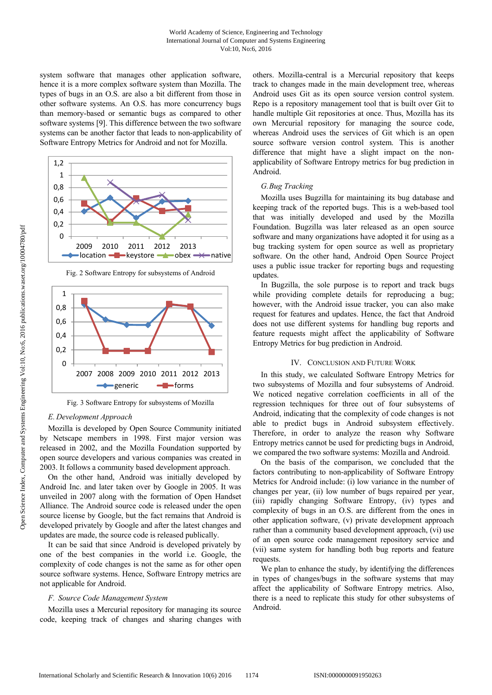system software that manages other application software, hence it is a more complex software system than Mozilla. The types of bugs in an O.S. are also a bit different from those in other software systems. An O.S. has more concurrency bugs than memory-based or semantic bugs as compared to other software systems [9]. This difference between the two software systems can be another factor that leads to non-applicability of Software Entropy Metrics for Android and not for Mozilla.



Fig. 2 Software Entropy for subsystems of Android



Fig. 3 Software Entropy for subsystems of Mozilla

# *E. Development Approach*

Mozilla is developed by Open Source Community initiated by Netscape members in 1998. First major version was released in 2002, and the Mozilla Foundation supported by open source developers and various companies was created in 2003. It follows a community based development approach.

On the other hand, Android was initially developed by Android Inc. and later taken over by Google in 2005. It was unveiled in 2007 along with the formation of Open Handset Alliance. The Android source code is released under the open source license by Google, but the fact remains that Android is developed privately by Google and after the latest changes and updates are made, the source code is released publically.

It can be said that since Android is developed privately by one of the best companies in the world i.e. Google, the complexity of code changes is not the same as for other open source software systems. Hence, Software Entropy metrics are not applicable for Android.

#### *F. Source Code Management System*

Mozilla uses a Mercurial repository for managing its source code, keeping track of changes and sharing changes with others. Mozilla-central is a Mercurial repository that keeps track to changes made in the main development tree, whereas Android uses Git as its open source version control system. Repo is a repository management tool that is built over Git to handle multiple Git repositories at once. Thus, Mozilla has its own Mercurial repository for managing the source code, whereas Android uses the services of Git which is an open source software version control system. This is another difference that might have a slight impact on the nonapplicability of Software Entropy metrics for bug prediction in Android.

#### *G.Bug Tracking*

Mozilla uses Bugzilla for maintaining its bug database and keeping track of the reported bugs. This is a web-based tool that was initially developed and used by the Mozilla Foundation. Bugzilla was later released as an open source software and many organizations have adopted it for using as a bug tracking system for open source as well as proprietary software. On the other hand, Android Open Source Project uses a public issue tracker for reporting bugs and requesting updates.

In Bugzilla, the sole purpose is to report and track bugs while providing complete details for reproducing a bug; however, with the Android issue tracker, you can also make request for features and updates. Hence, the fact that Android does not use different systems for handling bug reports and feature requests might affect the applicability of Software Entropy Metrics for bug prediction in Android.

#### IV. CONCLUSION AND FUTURE WORK

In this study, we calculated Software Entropy Metrics for two subsystems of Mozilla and four subsystems of Android. We noticed negative correlation coefficients in all of the regression techniques for three out of four subsystems of Android, indicating that the complexity of code changes is not able to predict bugs in Android subsystem effectively. Therefore, in order to analyze the reason why Software Entropy metrics cannot be used for predicting bugs in Android, we compared the two software systems: Mozilla and Android.

On the basis of the comparison, we concluded that the factors contributing to non-applicability of Software Entropy Metrics for Android include: (i) low variance in the number of changes per year, (ii) low number of bugs repaired per year, (iii) rapidly changing Software Entropy, (iv) types and complexity of bugs in an O.S. are different from the ones in other application software, (v) private development approach rather than a community based development approach, (vi) use of an open source code management repository service and (vii) same system for handling both bug reports and feature requests.

We plan to enhance the study, by identifying the differences in types of changes/bugs in the software systems that may affect the applicability of Software Entropy metrics. Also, there is a need to replicate this study for other subsystems of Android.